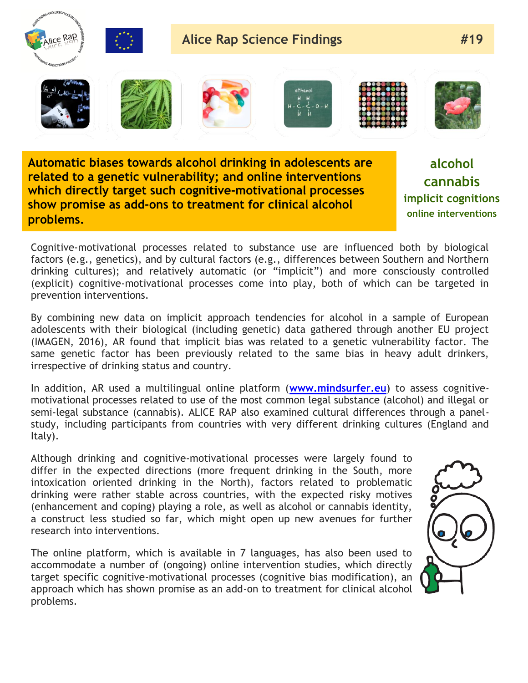

**Automatic biases towards alcohol drinking in adolescents are related to a genetic vulnerability; and online interventions which directly target such cognitive-motivational processes show promise as add-ons to treatment for clinical alcohol problems.**

**alcohol cannabis implicit cognitions online interventions**

Cognitive-motivational processes related to substance use are influenced both by biological factors (e.g., genetics), and by cultural factors (e.g., differences between Southern and Northern drinking cultures); and relatively automatic (or "implicit") and more consciously controlled (explicit) cognitive-motivational processes come into play, both of which can be targeted in prevention interventions.

By combining new data on implicit approach tendencies for alcohol in a sample of European adolescents with their biological (including genetic) data gathered through another EU project (IMAGEN, 2016), AR found that implicit bias was related to a genetic vulnerability factor. The same genetic factor has been previously related to the same bias in heavy adult drinkers, irrespective of drinking status and country.

In addition, AR used a multilingual online platform (**[www.mindsurfer.eu](http://www.mindsurfer.eu/)**) to assess cognitivemotivational processes related to use of the most common legal substance (alcohol) and illegal or semi-legal substance (cannabis). ALICE RAP also examined cultural differences through a panelstudy, including participants from countries with very different drinking cultures (England and Italy).

Although drinking and cognitive-motivational processes were largely found to differ in the expected directions (more frequent drinking in the South, more intoxication oriented drinking in the North), factors related to problematic drinking were rather stable across countries, with the expected risky motives (enhancement and coping) playing a role, as well as alcohol or cannabis identity, a construct less studied so far, which might open up new avenues for further research into interventions.

The online platform, which is available in 7 languages, has also been used to accommodate a number of (ongoing) online intervention studies, which directly target specific cognitive-motivational processes (cognitive bias modification), an approach which has shown promise as an add-on to treatment for clinical alcohol problems.